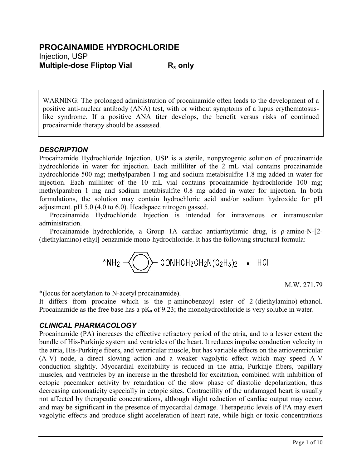WARNING: The prolonged administration of procainamide often leads to the development of a positive anti-nuclear antibody (ANA) test, with or without symptoms of a lupus erythematosuslike syndrome. If a positive ANA titer develops, the benefit versus risks of continued procainamide therapy should be assessed.

## *DESCRIPTION*

Procainamide Hydrochloride Injection, USP is a sterile, nonpyrogenic solution of procainamide hydrochloride in water for injection. Each milliliter of the 2 mL vial contains procainamide hydrochloride 500 mg; methylparaben 1 mg and sodium metabisulfite 1.8 mg added in water for injection. Each milliliter of the 10 mL vial contains procainamide hydrochloride 100 mg; methylparaben 1 mg and sodium metabisulfite 0.8 mg added in water for injection. In both formulations, the solution may contain hydrochloric acid and/or sodium hydroxide for pH adjustment. pH 5.0 (4.0 to 6.0). Headspace nitrogen gassed.

Procainamide Hydrochloride Injection is intended for intravenous or intramuscular administration.

Procainamide hydrochloride, a Group 1A cardiac antiarrhythmic drug, is ρ-amino-N-[2- (diethylamino) ethyl] benzamide mono-hydrochloride. It has the following structural formula:

$$
^{\star}NH_2\leftarrow
$$
 
$$
COMHCH_2CH_2N(C_2H_5)_2 \quad \bullet \quad HCl
$$

M.W. 271.79

\*(locus for acetylation to N-acetyl procainamide).

It differs from procaine which is the p-aminobenzoyl ester of 2-(diethylamino)-ethanol. Procainamide as the free base has a  $pK_a$  of 9.23; the monohydrochloride is very soluble in water.

# *CLINICAL PHARMACOLOGY*

Procainamide (PA) increases the effective refractory period of the atria, and to a lesser extent the bundle of His-Purkinje system and ventricles of the heart. It reduces impulse conduction velocity in the atria, His-Purkinje fibers, and ventricular muscle, but has variable effects on the atrioventricular (A-V) node, a direct slowing action and a weaker vagolytic effect which may speed A-V conduction slightly. Myocardial excitability is reduced in the atria, Purkinje fibers, papillary muscles, and ventricles by an increase in the threshold for excitation, combined with inhibition of ectopic pacemaker activity by retardation of the slow phase of diastolic depolarization, thus decreasing automaticity especially in ectopic sites. Contractility of the undamaged heart is usually not affected by therapeutic concentrations, although slight reduction of cardiac output may occur, and may be significant in the presence of myocardial damage. Therapeutic levels of PA may exert vagolytic effects and produce slight acceleration of heart rate, while high or toxic concentrations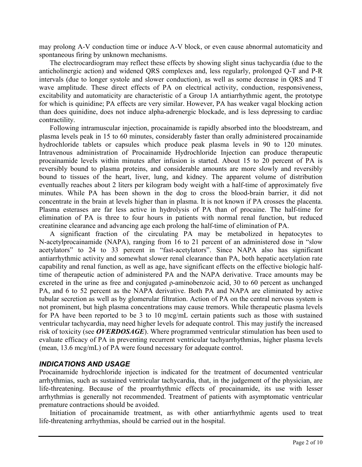may prolong A-V conduction time or induce A-V block, or even cause abnormal automaticity and spontaneous firing by unknown mechanisms.

The electrocardiogram may reflect these effects by showing slight sinus tachycardia (due to the anticholinergic action) and widened QRS complexes and, less regularly, prolonged Q-T and P-R intervals (due to longer systole and slower conduction), as well as some decrease in QRS and T wave amplitude. These direct effects of PA on electrical activity, conduction, responsiveness, excitability and automaticity are characteristic of a Group 1A antiarrhythmic agent, the prototype for which is quinidine; PA effects are very similar. However, PA has weaker vagal blocking action than does quinidine, does not induce alpha-adrenergic blockade, and is less depressing to cardiac contractility.

Following intramuscular injection, procainamide is rapidly absorbed into the bloodstream, and plasma levels peak in 15 to 60 minutes, considerably faster than orally administered procainamide hydrochloride tablets or capsules which produce peak plasma levels in 90 to 120 minutes. Intravenous administration of Procainamide Hydrochloride Injection can produce therapeutic procainamide levels within minutes after infusion is started. About 15 to 20 percent of PA is reversibly bound to plasma proteins, and considerable amounts are more slowly and reversibly bound to tissues of the heart, liver, lung, and kidney. The apparent volume of distribution eventually reaches about 2 liters per kilogram body weight with a half-time of approximately five minutes. While PA has been shown in the dog to cross the blood-brain barrier, it did not concentrate in the brain at levels higher than in plasma. It is not known if PA crosses the placenta. Plasma esterases are far less active in hydrolysis of PA than of procaine. The half-time for elimination of PA is three to four hours in patients with normal renal function, but reduced creatinine clearance and advancing age each prolong the half-time of elimination of PA.

A significant fraction of the circulating PA may be metabolized in hepatocytes to N-acetylprocainamide (NAPA), ranging from 16 to 21 percent of an administered dose in "slow acetylators" to 24 to 33 percent in "fast-acetylators". Since NAPA also has significant antiarrhythmic activity and somewhat slower renal clearance than PA, both hepatic acetylation rate capability and renal function, as well as age, have significant effects on the effective biologic halftime of therapeutic action of administered PA and the NAPA derivative. Trace amounts may be excreted in the urine as free and conjugated ρ-aminobenzoic acid, 30 to 60 percent as unchanged PA, and 6 to 52 percent as the NAPA derivative. Both PA and NAPA are eliminated by active tubular secretion as well as by glomerular filtration. Action of PA on the central nervous system is not prominent, but high plasma concentrations may cause tremors. While therapeutic plasma levels for PA have been reported to be 3 to 10 mcg/mL certain patients such as those with sustained ventricular tachycardia, may need higher levels for adequate control. This may justify the increased risk of toxicity (see *OVERDOSAGE*). Where programmed ventricular stimulation has been used to evaluate efficacy of PA in preventing recurrent ventricular tachyarrhythmias, higher plasma levels (mean, 13.6 mcg/mL) of PA were found necessary for adequate control.

## *INDICATIONS AND USAGE*

Procainamide hydrochloride injection is indicated for the treatment of documented ventricular arrhythmias, such as sustained ventricular tachycardia, that, in the judgement of the physician, are life-threatening. Because of the proarrhythmic effects of procainamide, its use with lesser arrhythmias is generally not recommended. Treatment of patients with asymptomatic ventricular premature contractions should be avoided.

Initiation of procainamide treatment, as with other antiarrhythmic agents used to treat life-threatening arrhythmias, should be carried out in the hospital.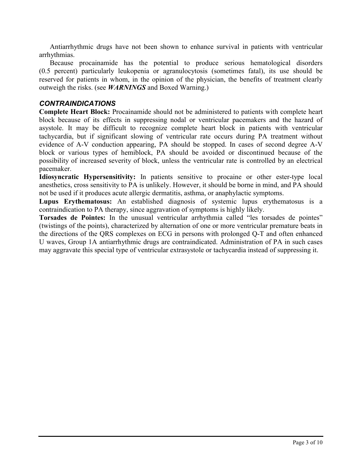Antiarrhythmic drugs have not been shown to enhance survival in patients with ventricular arrhythmias.

Because procainamide has the potential to produce serious hematological disorders (0.5 percent) particularly leukopenia or agranulocytosis (sometimes fatal), its use should be reserved for patients in whom, in the opinion of the physician, the benefits of treatment clearly outweigh the risks. (see *WARNINGS* and Boxed Warning.)

# *CONTRAINDICATIONS*

**Complete Heart Block:** Procainamide should not be administered to patients with complete heart block because of its effects in suppressing nodal or ventricular pacemakers and the hazard of asystole. It may be difficult to recognize complete heart block in patients with ventricular tachycardia, but if significant slowing of ventricular rate occurs during PA treatment without evidence of A-V conduction appearing, PA should be stopped. In cases of second degree A-V block or various types of hemiblock, PA should be avoided or discontinued because of the possibility of increased severity of block, unless the ventricular rate is controlled by an electrical pacemaker.

**Idiosyncratic Hypersensitivity:** In patients sensitive to procaine or other ester-type local anesthetics, cross sensitivity to PA is unlikely. However, it should be borne in mind, and PA should not be used if it produces acute allergic dermatitis, asthma, or anaphylactic symptoms.

**Lupus Erythematosus:** An established diagnosis of systemic lupus erythematosus is a contraindication to PA therapy, since aggravation of symptoms is highly likely.

**Torsades de Pointes:** In the unusual ventricular arrhythmia called "les torsades de pointes" (twistings of the points), characterized by alternation of one or more ventricular premature beats in the directions of the QRS complexes on ECG in persons with prolonged Q-T and often enhanced U waves, Group 1A antiarrhythmic drugs are contraindicated. Administration of PA in such cases may aggravate this special type of ventricular extrasystole or tachycardia instead of suppressing it.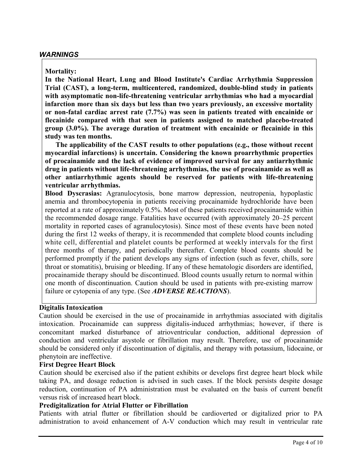## **Mortality:**

**In the National Heart, Lung and Blood Institute's Cardiac Arrhythmia Suppression Trial (CAST), a long-term, multicentered, randomized, double-blind study in patients with asymptomatic non-life-threatening ventricular arrhythmias who had a myocardial infarction more than six days but less than two years previously, an excessive mortality or non-fatal cardiac arrest rate (7.7%) was seen in patients treated with encainide or flecainide compared with that seen in patients assigned to matched placebo-treated group (3.0%). The average duration of treatment with encainide or flecainide in this study was ten months.**

**The applicability of the CAST results to other populations (e.g., those without recent myocardial infarctions) is uncertain. Considering the known proarrhythmic properties of procainamide and the lack of evidence of improved survival for any antiarrhythmic drug in patients without life-threatening arrhythmias, the use of procainamide as well as other antiarrhythmic agents should be reserved for patients with life-threatening ventricular arrhythmias.**

**Blood Dyscrasias:** Agranulocytosis, bone marrow depression, neutropenia, hypoplastic anemia and thrombocytopenia in patients receiving procainamide hydrochloride have been reported at a rate of approximately 0.5%. Most of these patients received procainamide within the recommended dosage range. Fatalities have occurred (with approximately 20–25 percent mortality in reported cases of agranulocytosis). Since most of these events have been noted during the first 12 weeks of therapy, it is recommended that complete blood counts including white cell, differential and platelet counts be performed at weekly intervals for the first three months of therapy, and periodically thereafter. Complete blood counts should be performed promptly if the patient develops any signs of infection (such as fever, chills, sore throat or stomatitis), bruising or bleeding. If any of these hematologic disorders are identified, procainamide therapy should be discontinued. Blood counts usually return to normal within one month of discontinuation. Caution should be used in patients with pre-existing marrow failure or cytopenia of any type. (See *ADVERSE REACTIONS*).

## **Digitalis Intoxication**

Caution should be exercised in the use of procainamide in arrhythmias associated with digitalis intoxication. Procainamide can suppress digitalis-induced arrhythmias; however, if there is concomitant marked disturbance of atrioventricular conduction, additional depression of conduction and ventricular asystole or fibrillation may result. Therefore, use of procainamide should be considered only if discontinuation of digitalis, and therapy with potassium, lidocaine, or phenytoin are ineffective.

## **First Degree Heart Block**

Caution should be exercised also if the patient exhibits or develops first degree heart block while taking PA, and dosage reduction is advised in such cases. If the block persists despite dosage reduction, continuation of PA administration must be evaluated on the basis of current benefit versus risk of increased heart block.

## **Predigitalization for Atrial Flutter or Fibrillation**

Patients with atrial flutter or fibrillation should be cardioverted or digitalized prior to PA administration to avoid enhancement of A-V conduction which may result in ventricular rate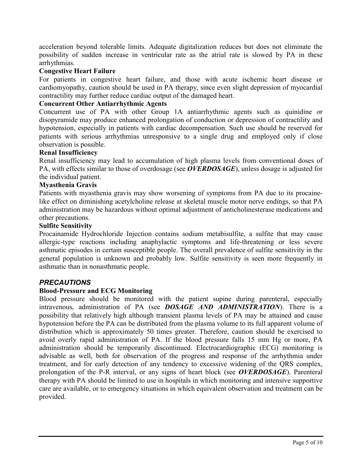acceleration beyond tolerable limits. Adequate digitalization reduces but does not eliminate the possibility of sudden increase in ventricular rate as the atrial rate is slowed by PA in these arrhythmias.

## **Congestive Heart Failure**

For patients in congestive heart failure, and those with acute ischemic heart disease or cardiomyopathy, caution should be used in PA therapy, since even slight depression of myocardial contractility may further reduce cardiac output of the damaged heart.

## **Concurrent Other Antiarrhythmic Agents**

Concurrent use of PA with other Group 1A antiarrhythmic agents such as quinidine or disopyramide may produce enhanced prolongation of conduction or depression of contractility and hypotension, especially in patients with cardiac decompensation. Such use should be reserved for patients with serious arrhythmias unresponsive to a single drug and employed only if close observation is possible.

## **Renal Insufficiency**

Renal insufficiency may lead to accumulation of high plasma levels from conventional doses of PA, with effects similar to those of overdosage (see *OVERDOSAGE*), unless dosage is adjusted for the individual patient.

## **Myasthenia Gravis**

Patients with myasthenia gravis may show worsening of symptoms from PA due to its procainelike effect on diminishing acetylcholine release at skeletal muscle motor nerve endings, so that PA administration may be hazardous without optimal adjustment of anticholinesterase medications and other precautions.

## **Sulfite Sensitivity**

Procainamide Hydrochloride Injection contains sodium metabisulfite, a sulfite that may cause allergic-type reactions including anaphylactic symptoms and life-threatening or less severe asthmatic episodes in certain susceptible people. The overall prevalence of sulfite sensitivity in the general population is unknown and probably low. Sulfite sensitivity is seen more frequently in asthmatic than in nonasthmatic people.

## *PRECAUTIONS*

## **Blood-Pressure and ECG Monitoring**

Blood pressure should be monitored with the patient supine during parenteral, especially intravenous, administration of PA (see *DOSAGE AND ADMINISTRATION*). There is a possibility that relatively high although transient plasma levels of PA may be attained and cause hypotension before the PA can be distributed from the plasma volume to its full apparent volume of distribution which is approximately 50 times greater. Therefore, caution should be exercised to avoid overly rapid administration of PA. If the blood pressure falls 15 mm Hg or more, PA administration should be temporarily discontinued. Electrocardiographic (ECG) monitoring is advisable as well, both for observation of the progress and response of the arrhythmia under treatment, and for early detection of any tendency to excessive widening of the QRS complex, prolongation of the P-R interval, or any signs of heart block (see *OVERDOSAGE*). Parenteral therapy with PA should be limited to use in hospitals in which monitoring and intensive supportive care are available, or to emergency situations in which equivalent observation and treatment can be provided.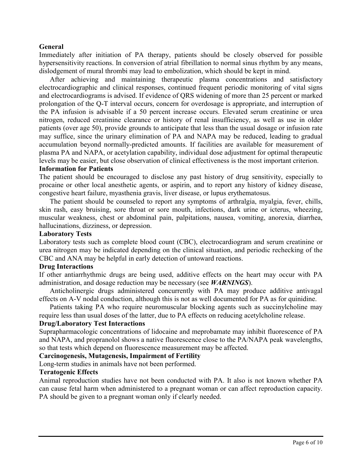## **General**

Immediately after initiation of PA therapy, patients should be closely observed for possible hypersensitivity reactions. In conversion of atrial fibrillation to normal sinus rhythm by any means, dislodgement of mural thrombi may lead to embolization, which should be kept in mind.

After achieving and maintaining therapeutic plasma concentrations and satisfactory electrocardiographic and clinical responses, continued frequent periodic monitoring of vital signs and electrocardiograms is advised. If evidence of QRS widening of more than 25 percent or marked prolongation of the Q-T interval occurs, concern for overdosage is appropriate, and interruption of the PA infusion is advisable if a 50 percent increase occurs. Elevated serum creatinine or urea nitrogen, reduced creatinine clearance or history of renal insufficiency, as well as use in older patients (over age 50), provide grounds to anticipate that less than the usual dosage or infusion rate may suffice, since the urinary elimination of PA and NAPA may be reduced, leading to gradual accumulation beyond normally-predicted amounts. If facilities are available for measurement of plasma PA and NAPA, or acetylation capability, individual dose adjustment for optimal therapeutic levels may be easier, but close observation of clinical effectiveness is the most important criterion.

#### **Information for Patients**

The patient should be encouraged to disclose any past history of drug sensitivity, especially to procaine or other local anesthetic agents, or aspirin, and to report any history of kidney disease, congestive heart failure, myasthenia gravis, liver disease, or lupus erythematosus.

The patient should be counseled to report any symptoms of arthralgia, myalgia, fever, chills, skin rash, easy bruising, sore throat or sore mouth, infections, dark urine or icterus, wheezing, muscular weakness, chest or abdominal pain, palpitations, nausea, vomiting, anorexia, diarrhea, hallucinations, dizziness, or depression.

#### **Laboratory Tests**

Laboratory tests such as complete blood count (CBC), electrocardiogram and serum creatinine or urea nitrogen may be indicated depending on the clinical situation, and periodic rechecking of the CBC and ANA may be helpful in early detection of untoward reactions.

## **Drug Interactions**

If other antiarrhythmic drugs are being used, additive effects on the heart may occur with PA administration, and dosage reduction may be necessary (see *WARNINGS*).

Anticholinergic drugs administered concurrently with PA may produce additive antivagal effects on A-V nodal conduction, although this is not as well documented for PA as for quinidine.

Patients taking PA who require neuromuscular blocking agents such as succinylcholine may require less than usual doses of the latter, due to PA effects on reducing acetylcholine release.

## **Drug/Laboratory Test Interactions**

Suprapharmacologic concentrations of lidocaine and meprobamate may inhibit fluorescence of PA and NAPA, and propranolol shows a native fluorescence close to the PA/NAPA peak wavelengths, so that tests which depend on fluorescence measurement may be affected.

#### **Carcinogenesis, Mutagenesis, Impairment of Fertility**

Long-term studies in animals have not been performed.

## **Teratogenic Effects**

Animal reproduction studies have not been conducted with PA. It also is not known whether PA can cause fetal harm when administered to a pregnant woman or can affect reproduction capacity. PA should be given to a pregnant woman only if clearly needed.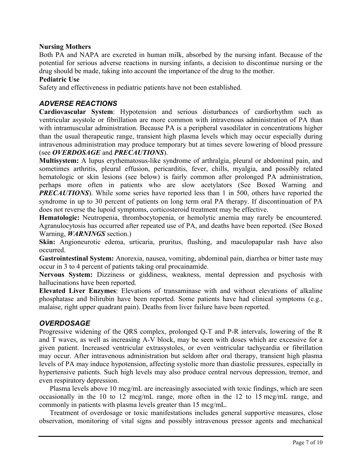## **Nursing Mothers**

Both PA and NAPA are excreted in human milk, absorbed by the nursing infant. Because of the potential for serious adverse reactions in nursing infants, a decision to discontinue nursing or the drug should be made, taking into account the importance of the drug to the mother.

#### **Pediatric Use**

Safety and effectiveness in pediatric patients have not been established.

## *ADVERSE REACTIONS*

**Cardiovascular System**: Hypotension and serious disturbances of cardiorhythm such as ventricular asystole or fibrillation are more common with intravenous administration of PA than with intramuscular administration. Because PA is a peripheral vasodilator in concentrations higher than the usual therapeutic range, transient high plasma levels which may occur especially during intravenous administration may produce temporary but at times severe lowering of blood pressure (see *OVERDOSAGE* and *PRECAUTIONS*).

**Multisystem:** A lupus erythematosus-like syndrome of arthralgia, pleural or abdominal pain, and sometimes arthritis, pleural effusion, pericarditis, fever, chills, myalgia, and possibly related hematologic or skin lesions (see below) is fairly common after prolonged PA administration, perhaps more often in patients who are slow acetylators (See Boxed Warning and **PRECAUTIONS**). While some series have reported less than 1 in 500, others have reported the syndrome in up to 30 percent of patients on long term oral PA therapy. If discontinuation of PA does not reverse the lupoid symptoms, corticosteroid treatment may be effective.

**Hematologic:** Neutropenia, thrombocytopenia, or hemolytic anemia may rarely be encountered. Agranulocytosis has occurred after repeated use of PA, and deaths have been reported. (See Boxed Warning, *WARNINGS* section.)

**Skin:** Angioneurotic edema, urticaria, pruritus, flushing, and maculopapular rash have also occurred.

**Gastrointestinal System:** Anorexia, nausea, vomiting, abdominal pain, diarrhea or bitter taste may occur in 3 to 4 percent of patients taking oral procainamide.

**Nervous System:** Dizziness or giddiness, weakness, mental depression and psychosis with hallucinations have been reported.

**Elevated Liver Enzymes**: Elevations of transaminase with and without elevations of alkaline phosphatase and bilirubin have been reported. Some patients have had clinical symptoms (e.g., malaise, right upper quadrant pain). Deaths from liver failure have been reported.

## *OVERDOSAGE*

Progressive widening of the QRS complex, prolonged Q-T and P-R intervals, lowering of the R and T waves, as well as increasing A-V block, may be seen with doses which are excessive for a given patient. Increased ventricular extrasystoles, or even ventricular tachycardia or fibrillation may occur. After intravenous administration but seldom after oral therapy, transient high plasma levels of PA may induce hypotension, affecting systolic more than diastolic pressures, especially in hypertensive patients. Such high levels may also produce central nervous depression, tremor, and even respiratory depression.

Plasma levels above 10 mcg/mL are increasingly associated with toxic findings, which are seen occasionally in the 10 to 12 mcg/mL range, more often in the 12 to 15 mcg/mL range, and commonly in patients with plasma levels greater than 15 mcg/mL.

Treatment of overdosage or toxic manifestations includes general supportive measures, close observation, monitoring of vital signs and possibly intravenous pressor agents and mechanical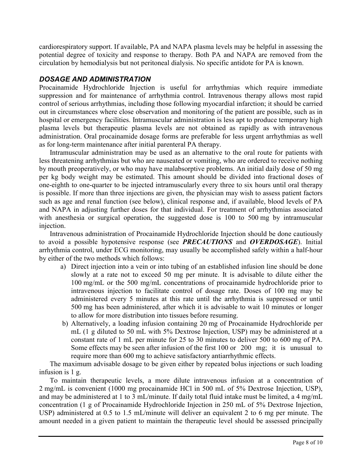cardiorespiratory support. If available, PA and NAPA plasma levels may be helpful in assessing the potential degree of toxicity and response to therapy. Both PA and NAPA are removed from the circulation by hemodialysis but not peritoneal dialysis. No specific antidote for PA is known.

# *DOSAGE AND ADMINISTRATION*

Procainamide Hydrochloride Injection is useful for arrhythmias which require immediate suppression and for maintenance of arrhythmia control. Intravenous therapy allows most rapid control of serious arrhythmias, including those following myocardial infarction; it should be carried out in circumstances where close observation and monitoring of the patient are possible, such as in hospital or emergency facilities. Intramuscular administration is less apt to produce temporary high plasma levels but therapeutic plasma levels are not obtained as rapidly as with intravenous administration. Oral procainamide dosage forms are preferable for less urgent arrhythmias as well as for long-term maintenance after initial parenteral PA therapy.

Intramuscular administration may be used as an alternative to the oral route for patients with less threatening arrhythmias but who are nauseated or vomiting, who are ordered to receive nothing by mouth preoperatively, or who may have malabsorptive problems. An initial daily dose of 50 mg per kg body weight may be estimated. This amount should be divided into fractional doses of one-eighth to one-quarter to be injected intramuscularly every three to six hours until oral therapy is possible. If more than three injections are given, the physician may wish to assess patient factors such as age and renal function (see below), clinical response and, if available, blood levels of PA and NAPA in adjusting further doses for that individual. For treatment of arrhythmias associated with anesthesia or surgical operation, the suggested dose is 100 to 500 mg by intramuscular injection.

Intravenous administration of Procainamide Hydrochloride Injection should be done cautiously to avoid a possible hypotensive response (see *PRECAUTIONS* and *OVERDOSAGE*). Initial arrhythmia control, under ECG monitoring, may usually be accomplished safely within a half-hour by either of the two methods which follows:

- a) Direct injection into a vein or into tubing of an established infusion line should be done slowly at a rate not to exceed 50 mg per minute. It is advisable to dilute either the 100 mg/mL or the 500 mg/mL concentrations of procainamide hydrochloride prior to intravenous injection to facilitate control of dosage rate. Doses of 100 mg may be administered every 5 minutes at this rate until the arrhythmia is suppressed or until 500 mg has been administered, after which it is advisable to wait 10 minutes or longer to allow for more distribution into tissues before resuming.
- b) Alternatively, a loading infusion containing 20 mg of Procainamide Hydrochloride per mL (1 g diluted to 50 mL with 5% Dextrose Injection, USP) may be administered at a constant rate of 1 mL per minute for 25 to 30 minutes to deliver 500 to 600 mg of PA. Some effects may be seen after infusion of the first 100 or 200 mg; it is unusual to require more than 600 mg to achieve satisfactory antiarrhythmic effects.

The maximum advisable dosage to be given either by repeated bolus injections or such loading infusion is 1 g.

To maintain therapeutic levels, a more dilute intravenous infusion at a concentration of 2 mg/mL is convenient (1000 mg procainamide HCl in 500 mL of 5% Dextrose Injection, USP), and may be administered at 1 to 3 mL/minute. If daily total fluid intake must be limited, a 4 mg/mL concentration (1 g of Procainamide Hydrochloride Injection in 250 mL of 5% Dextrose Injection, USP) administered at 0.5 to 1.5 mL/minute will deliver an equivalent 2 to 6 mg per minute. The amount needed in a given patient to maintain the therapeutic level should be assessed principally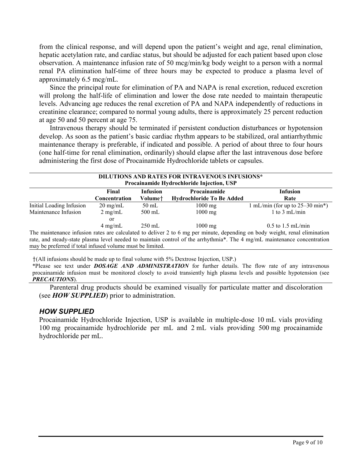from the clinical response, and will depend upon the patient's weight and age, renal elimination, hepatic acetylation rate, and cardiac status, but should be adjusted for each patient based upon close observation. A maintenance infusion rate of 50 mcg/min/kg body weight to a person with a normal renal PA elimination half-time of three hours may be expected to produce a plasma level of approximately 6.5 mcg/mL.

Since the principal route for elimination of PA and NAPA is renal excretion, reduced excretion will prolong the half-life of elimination and lower the dose rate needed to maintain therapeutic levels. Advancing age reduces the renal excretion of PA and NAPA independently of reductions in creatinine clearance; compared to normal young adults, there is approximately 25 percent reduction at age 50 and 50 percent at age 75.

Intravenous therapy should be terminated if persistent conduction disturbances or hypotension develop. As soon as the patient's basic cardiac rhythm appears to be stabilized, oral antiarrhythmic maintenance therapy is preferable, if indicated and possible. A period of about three to four hours (one half-time for renal elimination, ordinarily) should elapse after the last intravenous dose before administering the first dose of Procainamide Hydrochloride tablets or capsules.

| <b>DILUTIONS AND RATES FOR INTRAVENOUS INFUSIONS*</b><br>Procainamide Hydrochloride Injection, USP                         |                         |                            |                                                  |                                                                                                                          |  |
|----------------------------------------------------------------------------------------------------------------------------|-------------------------|----------------------------|--------------------------------------------------|--------------------------------------------------------------------------------------------------------------------------|--|
|                                                                                                                            | Final<br>Concentration  | <b>Infusion</b><br>Volume† | Procainamide<br><b>Hydrochloride To Be Added</b> | Infusion<br>Rate                                                                                                         |  |
| Initial Loading Infusion                                                                                                   | $20 \text{ mg/mL}$      | 50 mL                      | $1000$ mg                                        | 1 mL/min (for up to $25-30$ min*)                                                                                        |  |
| Maintenance Infusion                                                                                                       | $2 \text{ mg/mL}$<br>or | $500$ mL                   | $1000 \text{ mg}$                                | 1 to 3 mL/min                                                                                                            |  |
|                                                                                                                            | $4 \text{ mg/mL}$       | $250 \text{ mL}$           | $1000 \text{ mg}$                                | $0.5$ to 1.5 mL/min                                                                                                      |  |
| The maintenance infusion rates are calculated to deliver 2 to 6 mg per minute, depending on body weight, renal elimination |                         |                            |                                                  |                                                                                                                          |  |
| may be preferred if total infused volume must be limited.                                                                  |                         |                            |                                                  | rate, and steady-state plasma level needed to maintain control of the arrhythmia*. The 4 mg/mL maintenance concentration |  |

†(All infusions should be made up to final volume with 5% Dextrose Injection, USP.)

\*Please see text under *DOSAGE AND ADMINISTRATION* for further details. The flow rate of any intravenous procainamide infusion must be monitored closely to avoid transiently high plasma levels and possible hypotension (see *PRECAUTIONS*).

Parenteral drug products should be examined visually for particulate matter and discoloration (see *HOW SUPPLIED*) prior to administration.

## *HOW SUPPLIED*

Procainamide Hydrochloride Injection, USP is available in multiple-dose 10 mL vials providing 100 mg procainamide hydrochloride per mL and 2 mL vials providing 500 mg procainamide hydrochloride per mL.